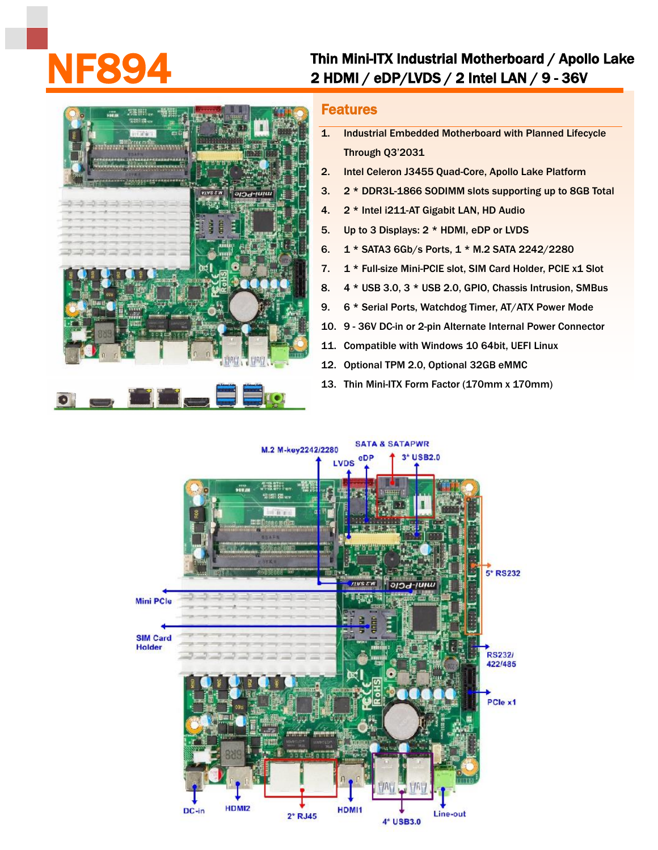## Thin Mini-ITX Industrial Motherboard / Apollo Lake<br>2 HDMI / eDP/LVDS / 2 Intel LAN / 9 - 36V



## Features

- 1. Industrial Embedded Motherboard with Planned Lifecycle Through Q3'2031
- 2. Intel Celeron J3455 Quad-Core, Apollo Lake Platform
- 3. 2 \* DDR3L-1866 SODIMM slots supporting up to 8GB Total
- 4. 2 \* Intel i211-AT Gigabit LAN, HD Audio
- 5. Up to 3 Displays: 2 \* HDMI, eDP or LVDS
- 6. 1 \* SATA3 6Gb/s Ports, 1 \* M.2 SATA 2242/2280
- 7. 1 \* Full-size Mini-PCIE slot, SIM Card Holder, PCIE x1 Slot
- 8. 4 \* USB 3.0, 3 \* USB 2.0, GPIO, Chassis Intrusion, SMBus
- 9. 6 \* Serial Ports, Watchdog Timer, AT/ATX Power Mode
- 10. 9 36V DC-in or 2-pin Alternate Internal Power Connector
- 11. Compatible with Windows 10 64bit, UEFI Linux
- 12. Optional TPM 2.0, Optional 32GB eMMC
- 13. Thin Mini-ITX Form Factor (170mm x 170mm)